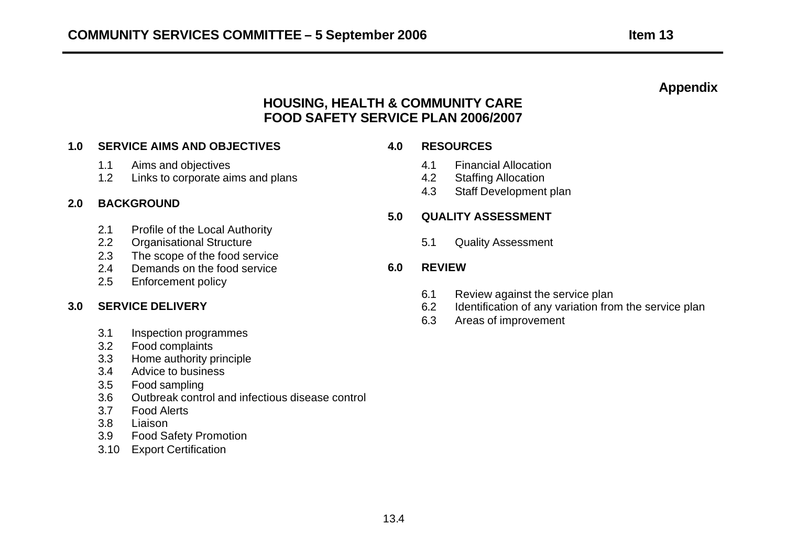# **Appendix**

# **HOUSING, HEALTH & COMMUNITY CARE FOOD SAFETY SERVICE PLAN 2006/2007**

### **1.0 SERVICE AIMS AND OBJECTIVES 4.0 RESOURCES**

- 1.1 Aims and objectives
- 1.2 Links to corporate aims and plans

#### **2.0 BACKGROUND**

- 2.1 Profile of the Local Authority
- 2.2 Organisational Structure **6.1** Cuality Assessment
- 2.3 The scope of the food service
- 2.4 Demands on the food service **6.0 REVIEW**
- 2.5 Enforcement policy

#### **3.0 SERVICE DELIVERY**

- 3.1 Inspection programmes
- 3.2 Food complaints
- 3.3 Home authority principle
- 3.4 Advice to business
- 3.5 Food sampling
- 3.6 Outbreak control and infectious disease control
- 3.7 Food Alerts
- 3.8 Liaison
- 3.9 Food Safety Promotion
- 3.10 Export Certification

- 4.1 Financial Allocation
- 4.2 Staffing Allocation
- 4.3 Staff Development plan

### **5.0 QUALITY ASSESSMENT**

- 6.1 Review against the service plan
- 6.2 Identification of any variation from the service plan
- 6.3 Areas of improvement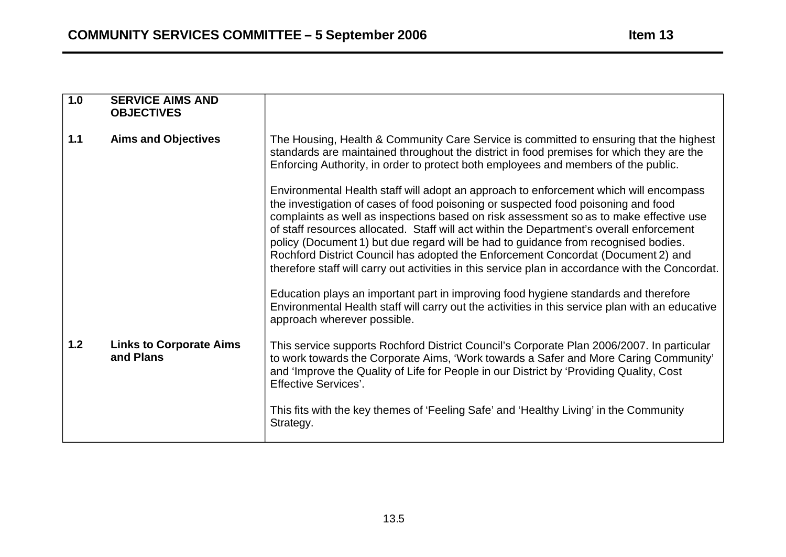| 1.0   | <b>SERVICE AIMS AND</b><br><b>OBJECTIVES</b> |                                                                                                                                                                                                                                                                                                                                                                                                                                                                                                                                                                                                                                                                                                                                                                                                                                                                                                                                                                                                                                                                                                                                                     |
|-------|----------------------------------------------|-----------------------------------------------------------------------------------------------------------------------------------------------------------------------------------------------------------------------------------------------------------------------------------------------------------------------------------------------------------------------------------------------------------------------------------------------------------------------------------------------------------------------------------------------------------------------------------------------------------------------------------------------------------------------------------------------------------------------------------------------------------------------------------------------------------------------------------------------------------------------------------------------------------------------------------------------------------------------------------------------------------------------------------------------------------------------------------------------------------------------------------------------------|
| $1.1$ | <b>Aims and Objectives</b>                   | The Housing, Health & Community Care Service is committed to ensuring that the highest<br>standards are maintained throughout the district in food premises for which they are the<br>Enforcing Authority, in order to protect both employees and members of the public.<br>Environmental Health staff will adopt an approach to enforcement which will encompass<br>the investigation of cases of food poisoning or suspected food poisoning and food<br>complaints as well as inspections based on risk assessment so as to make effective use<br>of staff resources allocated. Staff will act within the Department's overall enforcement<br>policy (Document 1) but due regard will be had to guidance from recognised bodies.<br>Rochford District Council has adopted the Enforcement Concordat (Document 2) and<br>therefore staff will carry out activities in this service plan in accordance with the Concordat.<br>Education plays an important part in improving food hygiene standards and therefore<br>Environmental Health staff will carry out the activities in this service plan with an educative<br>approach wherever possible. |
| 1.2   | <b>Links to Corporate Aims</b><br>and Plans  | This service supports Rochford District Council's Corporate Plan 2006/2007. In particular<br>to work towards the Corporate Aims, 'Work towards a Safer and More Caring Community'<br>and 'Improve the Quality of Life for People in our District by 'Providing Quality, Cost<br><b>Effective Services'.</b><br>This fits with the key themes of 'Feeling Safe' and 'Healthy Living' in the Community<br>Strategy.                                                                                                                                                                                                                                                                                                                                                                                                                                                                                                                                                                                                                                                                                                                                   |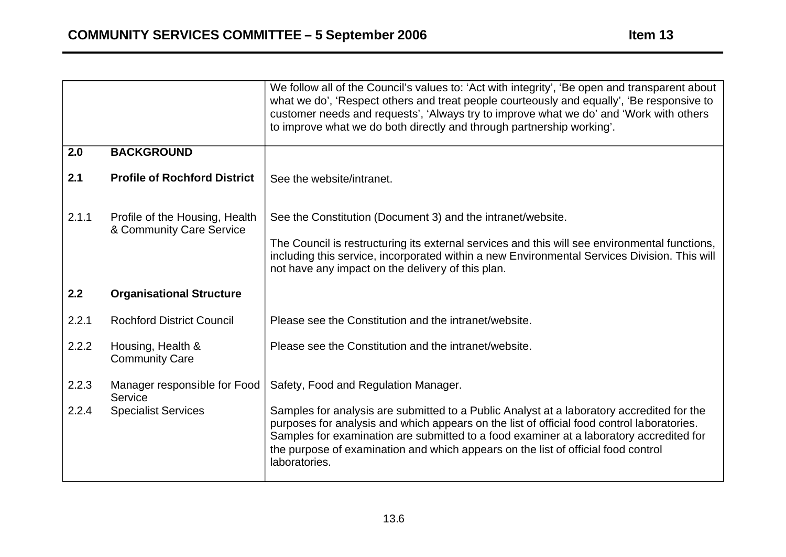|       |                                                            | We follow all of the Council's values to: 'Act with integrity', 'Be open and transparent about<br>what we do', 'Respect others and treat people courteously and equally', 'Be responsive to<br>customer needs and requests', 'Always try to improve what we do' and 'Work with others<br>to improve what we do both directly and through partnership working'.          |
|-------|------------------------------------------------------------|-------------------------------------------------------------------------------------------------------------------------------------------------------------------------------------------------------------------------------------------------------------------------------------------------------------------------------------------------------------------------|
| 2.0   | <b>BACKGROUND</b>                                          |                                                                                                                                                                                                                                                                                                                                                                         |
| 2.1   | <b>Profile of Rochford District</b>                        | See the website/intranet.                                                                                                                                                                                                                                                                                                                                               |
| 2.1.1 | Profile of the Housing, Health<br>& Community Care Service | See the Constitution (Document 3) and the intranet/website.                                                                                                                                                                                                                                                                                                             |
|       |                                                            | The Council is restructuring its external services and this will see environmental functions,<br>including this service, incorporated within a new Environmental Services Division. This will<br>not have any impact on the delivery of this plan.                                                                                                                      |
| 2.2   | <b>Organisational Structure</b>                            |                                                                                                                                                                                                                                                                                                                                                                         |
| 2.2.1 | <b>Rochford District Council</b>                           | Please see the Constitution and the intranet/website.                                                                                                                                                                                                                                                                                                                   |
| 2.2.2 | Housing, Health &<br><b>Community Care</b>                 | Please see the Constitution and the intranet/website.                                                                                                                                                                                                                                                                                                                   |
| 2.2.3 | Manager responsible for Food<br>Service                    | Safety, Food and Regulation Manager.                                                                                                                                                                                                                                                                                                                                    |
| 2.2.4 | <b>Specialist Services</b>                                 | Samples for analysis are submitted to a Public Analyst at a laboratory accredited for the<br>purposes for analysis and which appears on the list of official food control laboratories.<br>Samples for examination are submitted to a food examiner at a laboratory accredited for<br>the purpose of examination and which appears on the list of official food control |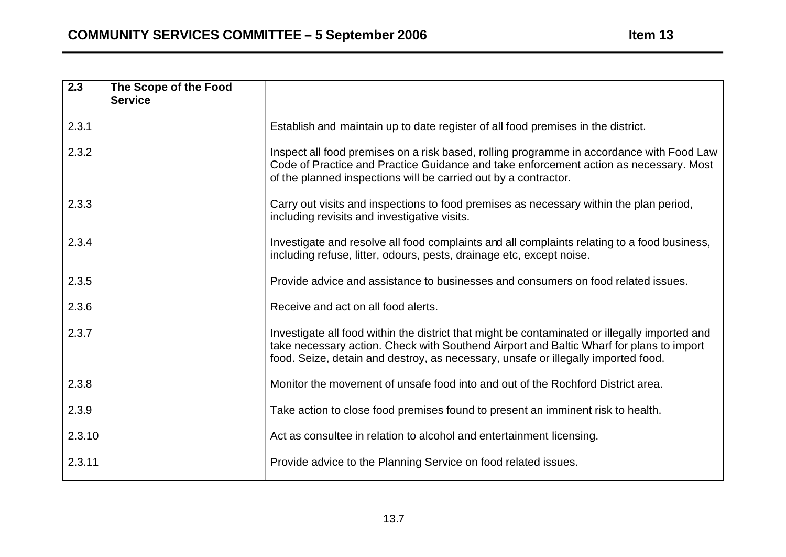| $\overline{2.3}$ | The Scope of the Food |                                                                                                                                                                                                                                                                               |
|------------------|-----------------------|-------------------------------------------------------------------------------------------------------------------------------------------------------------------------------------------------------------------------------------------------------------------------------|
|                  | <b>Service</b>        |                                                                                                                                                                                                                                                                               |
| 2.3.1            |                       | Establish and maintain up to date register of all food premises in the district.                                                                                                                                                                                              |
| 2.3.2            |                       | Inspect all food premises on a risk based, rolling programme in accordance with Food Law<br>Code of Practice and Practice Guidance and take enforcement action as necessary. Most<br>of the planned inspections will be carried out by a contractor.                          |
| 2.3.3            |                       | Carry out visits and inspections to food premises as necessary within the plan period,<br>including revisits and investigative visits.                                                                                                                                        |
| 2.3.4            |                       | Investigate and resolve all food complaints and all complaints relating to a food business,<br>including refuse, litter, odours, pests, drainage etc, except noise.                                                                                                           |
| 2.3.5            |                       | Provide advice and assistance to businesses and consumers on food related issues.                                                                                                                                                                                             |
| 2.3.6            |                       | Receive and act on all food alerts.                                                                                                                                                                                                                                           |
| 2.3.7            |                       | Investigate all food within the district that might be contaminated or illegally imported and<br>take necessary action. Check with Southend Airport and Baltic Wharf for plans to import<br>food. Seize, detain and destroy, as necessary, unsafe or illegally imported food. |
| 2.3.8            |                       | Monitor the movement of unsafe food into and out of the Rochford District area.                                                                                                                                                                                               |
| 2.3.9            |                       | Take action to close food premises found to present an imminent risk to health.                                                                                                                                                                                               |
| 2.3.10           |                       | Act as consultee in relation to alcohol and entertainment licensing.                                                                                                                                                                                                          |
| 2.3.11           |                       | Provide advice to the Planning Service on food related issues.                                                                                                                                                                                                                |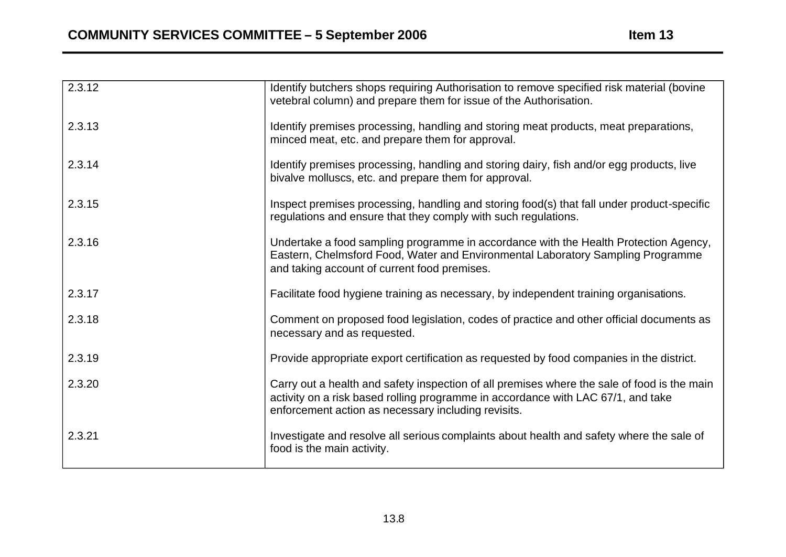| 2.3.12 | Identify butchers shops requiring Authorisation to remove specified risk material (bovine<br>vetebral column) and prepare them for issue of the Authorisation.                                                                         |
|--------|----------------------------------------------------------------------------------------------------------------------------------------------------------------------------------------------------------------------------------------|
| 2.3.13 | Identify premises processing, handling and storing meat products, meat preparations,<br>minced meat, etc. and prepare them for approval.                                                                                               |
| 2.3.14 | Identify premises processing, handling and storing dairy, fish and/or egg products, live<br>bivalve molluscs, etc. and prepare them for approval.                                                                                      |
| 2.3.15 | Inspect premises processing, handling and storing food(s) that fall under product-specific<br>regulations and ensure that they comply with such regulations.                                                                           |
| 2.3.16 | Undertake a food sampling programme in accordance with the Health Protection Agency,<br>Eastern, Chelmsford Food, Water and Environmental Laboratory Sampling Programme<br>and taking account of current food premises.                |
| 2.3.17 | Facilitate food hygiene training as necessary, by independent training organisations.                                                                                                                                                  |
| 2.3.18 | Comment on proposed food legislation, codes of practice and other official documents as<br>necessary and as requested.                                                                                                                 |
| 2.3.19 | Provide appropriate export certification as requested by food companies in the district.                                                                                                                                               |
| 2.3.20 | Carry out a health and safety inspection of all premises where the sale of food is the main<br>activity on a risk based rolling programme in accordance with LAC 67/1, and take<br>enforcement action as necessary including revisits. |
| 2.3.21 | Investigate and resolve all serious complaints about health and safety where the sale of<br>food is the main activity.                                                                                                                 |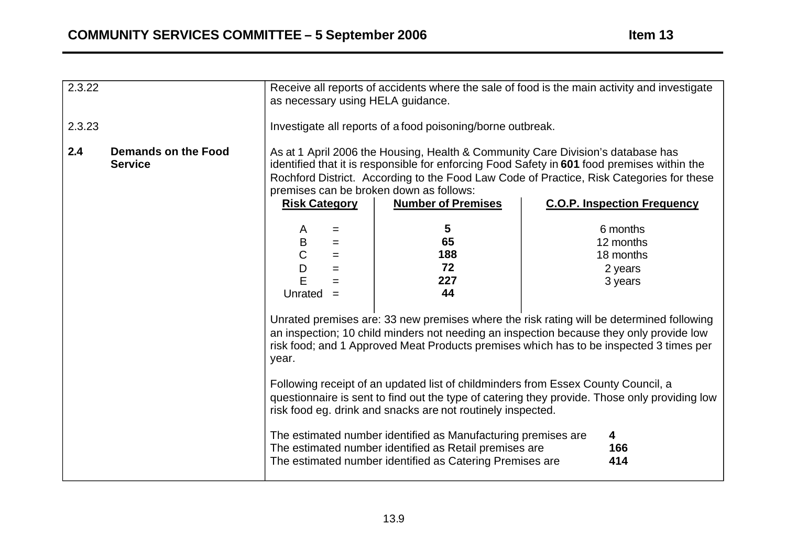| 2.3.22                                              | Receive all reports of accidents where the sale of food is the main activity and investigate<br>as necessary using HELA guidance.                                                                                                                                                                                                                                          |                                                          |
|-----------------------------------------------------|----------------------------------------------------------------------------------------------------------------------------------------------------------------------------------------------------------------------------------------------------------------------------------------------------------------------------------------------------------------------------|----------------------------------------------------------|
| 2.3.23                                              | Investigate all reports of a food poisoning/borne outbreak.                                                                                                                                                                                                                                                                                                                |                                                          |
| 2.4<br><b>Demands on the Food</b><br><b>Service</b> | As at 1 April 2006 the Housing, Health & Community Care Division's database has<br>identified that it is responsible for enforcing Food Safety in 601 food premises within the<br>Rochford District. According to the Food Law Code of Practice, Risk Categories for these<br>premises can be broken down as follows:<br><b>Risk Category</b><br><b>Number of Premises</b> | <b>C.O.P. Inspection Frequency</b>                       |
|                                                     | $5\phantom{.0}$<br>A<br>$=$<br>65<br>$\sf B$<br>$=$<br>$\overline{C}$<br>188<br>$=$<br>72<br>D<br>$=$<br>E<br>227<br>$=$<br>44<br>Unrated<br>$=$                                                                                                                                                                                                                           | 6 months<br>12 months<br>18 months<br>2 years<br>3 years |
|                                                     | Unrated premises are: 33 new premises where the risk rating will be determined following<br>an inspection; 10 child minders not needing an inspection because they only provide low<br>risk food; and 1 Approved Meat Products premises which has to be inspected 3 times per<br>year.                                                                                     |                                                          |
|                                                     | Following receipt of an updated list of childminders from Essex County Council, a<br>questionnaire is sent to find out the type of catering they provide. Those only providing low<br>risk food eg. drink and snacks are not routinely inspected.                                                                                                                          |                                                          |
|                                                     | The estimated number identified as Manufacturing premises are<br>The estimated number identified as Retail premises are<br>The estimated number identified as Catering Premises are                                                                                                                                                                                        | 4<br>166<br>414                                          |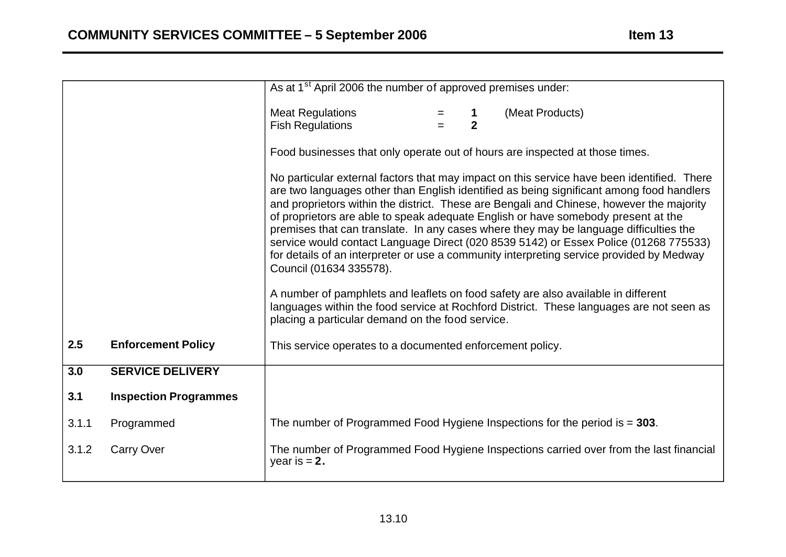|       |                              | As at 1 <sup>st</sup> April 2006 the number of approved premises under:                                                                                                                                                                                                                                                                                                                                                                                                                                                                                                                                                                                                         |
|-------|------------------------------|---------------------------------------------------------------------------------------------------------------------------------------------------------------------------------------------------------------------------------------------------------------------------------------------------------------------------------------------------------------------------------------------------------------------------------------------------------------------------------------------------------------------------------------------------------------------------------------------------------------------------------------------------------------------------------|
|       |                              | <b>Meat Regulations</b><br>(Meat Products)<br>$\overline{2}$<br><b>Fish Regulations</b>                                                                                                                                                                                                                                                                                                                                                                                                                                                                                                                                                                                         |
|       |                              | Food businesses that only operate out of hours are inspected at those times.                                                                                                                                                                                                                                                                                                                                                                                                                                                                                                                                                                                                    |
|       |                              | No particular external factors that may impact on this service have been identified. There<br>are two languages other than English identified as being significant among food handlers<br>and proprietors within the district. These are Bengali and Chinese, however the majority<br>of proprietors are able to speak adequate English or have somebody present at the<br>premises that can translate. In any cases where they may be language difficulties the<br>service would contact Language Direct (020 8539 5142) or Essex Police (01268 775533)<br>for details of an interpreter or use a community interpreting service provided by Medway<br>Council (01634 335578). |
|       |                              | A number of pamphlets and leaflets on food safety are also available in different<br>languages within the food service at Rochford District. These languages are not seen as<br>placing a particular demand on the food service.                                                                                                                                                                                                                                                                                                                                                                                                                                                |
| 2.5   | <b>Enforcement Policy</b>    | This service operates to a documented enforcement policy.                                                                                                                                                                                                                                                                                                                                                                                                                                                                                                                                                                                                                       |
| 3.0   | <b>SERVICE DELIVERY</b>      |                                                                                                                                                                                                                                                                                                                                                                                                                                                                                                                                                                                                                                                                                 |
| 3.1   | <b>Inspection Programmes</b> |                                                                                                                                                                                                                                                                                                                                                                                                                                                                                                                                                                                                                                                                                 |
| 3.1.1 | Programmed                   | The number of Programmed Food Hygiene Inspections for the period is $= 303$ .                                                                                                                                                                                                                                                                                                                                                                                                                                                                                                                                                                                                   |
| 3.1.2 | <b>Carry Over</b>            | The number of Programmed Food Hygiene Inspections carried over from the last financial<br>year is $= 2$ .                                                                                                                                                                                                                                                                                                                                                                                                                                                                                                                                                                       |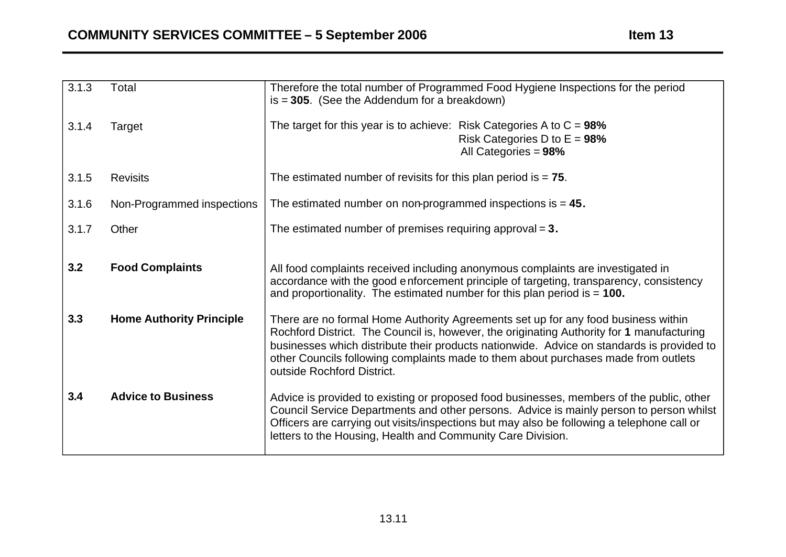| 3.1.3 | Total                           | Therefore the total number of Programmed Food Hygiene Inspections for the period<br>$is = 305$ . (See the Addendum for a breakdown)                                                                                                                                                                                                                                                             |
|-------|---------------------------------|-------------------------------------------------------------------------------------------------------------------------------------------------------------------------------------------------------------------------------------------------------------------------------------------------------------------------------------------------------------------------------------------------|
| 3.1.4 | Target                          | The target for this year is to achieve: Risk Categories A to $C = 98\%$<br>Risk Categories D to $E = 98\%$<br>All Categories = 98%                                                                                                                                                                                                                                                              |
| 3.1.5 | <b>Revisits</b>                 | The estimated number of revisits for this plan period is $= 75$ .                                                                                                                                                                                                                                                                                                                               |
| 3.1.6 | Non-Programmed inspections      | The estimated number on non-programmed inspections is $= 45$ .                                                                                                                                                                                                                                                                                                                                  |
| 3.1.7 | Other                           | The estimated number of premises requiring approval $= 3$ .                                                                                                                                                                                                                                                                                                                                     |
| 3.2   | <b>Food Complaints</b>          | All food complaints received including anonymous complaints are investigated in<br>accordance with the good enforcement principle of targeting, transparency, consistency<br>and proportionality. The estimated number for this plan period is $= 100$ .                                                                                                                                        |
| 3.3   | <b>Home Authority Principle</b> | There are no formal Home Authority Agreements set up for any food business within<br>Rochford District. The Council is, however, the originating Authority for 1 manufacturing<br>businesses which distribute their products nationwide. Advice on standards is provided to<br>other Councils following complaints made to them about purchases made from outlets<br>outside Rochford District. |
| 3.4   | <b>Advice to Business</b>       | Advice is provided to existing or proposed food businesses, members of the public, other<br>Council Service Departments and other persons. Advice is mainly person to person whilst<br>Officers are carrying out visits/inspections but may also be following a telephone call or<br>letters to the Housing, Health and Community Care Division.                                                |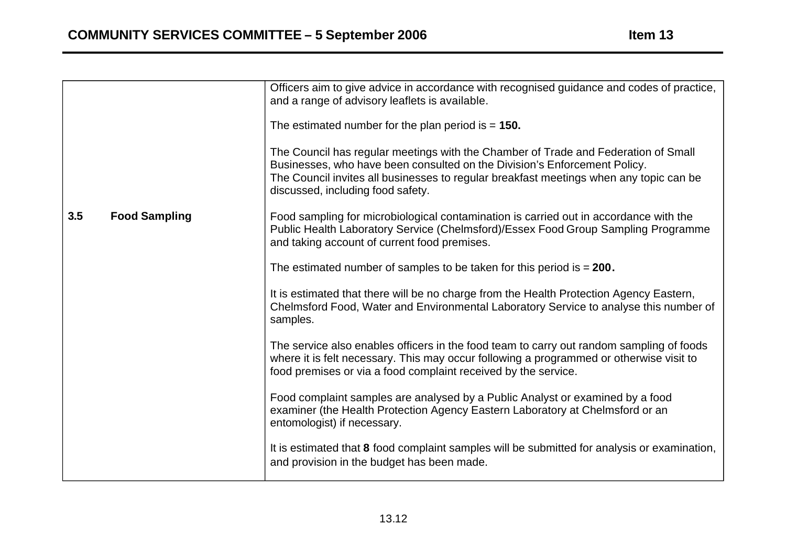|                             | Officers aim to give advice in accordance with recognised guidance and codes of practice,<br>and a range of advisory leaflets is available.<br>The estimated number for the plan period is $= 150$ .<br>The Council has regular meetings with the Chamber of Trade and Federation of Small<br>Businesses, who have been consulted on the Division's Enforcement Policy.<br>The Council invites all businesses to regular breakfast meetings when any topic can be |
|-----------------------------|-------------------------------------------------------------------------------------------------------------------------------------------------------------------------------------------------------------------------------------------------------------------------------------------------------------------------------------------------------------------------------------------------------------------------------------------------------------------|
| 3.5<br><b>Food Sampling</b> | discussed, including food safety.<br>Food sampling for microbiological contamination is carried out in accordance with the<br>Public Health Laboratory Service (Chelmsford)/Essex Food Group Sampling Programme<br>and taking account of current food premises.                                                                                                                                                                                                   |
|                             | The estimated number of samples to be taken for this period is $= 200$ .<br>It is estimated that there will be no charge from the Health Protection Agency Eastern,<br>Chelmsford Food, Water and Environmental Laboratory Service to analyse this number of<br>samples.                                                                                                                                                                                          |
|                             | The service also enables officers in the food team to carry out random sampling of foods<br>where it is felt necessary. This may occur following a programmed or otherwise visit to<br>food premises or via a food complaint received by the service.                                                                                                                                                                                                             |
|                             | Food complaint samples are analysed by a Public Analyst or examined by a food<br>examiner (the Health Protection Agency Eastern Laboratory at Chelmsford or an<br>entomologist) if necessary.                                                                                                                                                                                                                                                                     |
|                             | It is estimated that 8 food complaint samples will be submitted for analysis or examination,<br>and provision in the budget has been made.                                                                                                                                                                                                                                                                                                                        |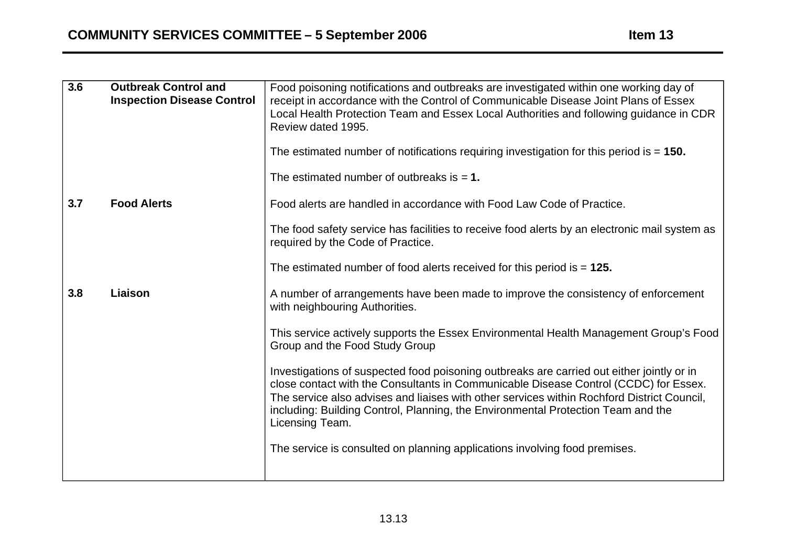| 3.6 | <b>Outbreak Control and</b><br><b>Inspection Disease Control</b> | Food poisoning notifications and outbreaks are investigated within one working day of<br>receipt in accordance with the Control of Communicable Disease Joint Plans of Essex<br>Local Health Protection Team and Essex Local Authorities and following guidance in CDR<br>Review dated 1995.<br>The estimated number of notifications requiring investigation for this period is $= 150$ . |
|-----|------------------------------------------------------------------|--------------------------------------------------------------------------------------------------------------------------------------------------------------------------------------------------------------------------------------------------------------------------------------------------------------------------------------------------------------------------------------------|
|     |                                                                  | The estimated number of outbreaks is $= 1$ .                                                                                                                                                                                                                                                                                                                                               |
| 3.7 | <b>Food Alerts</b>                                               | Food alerts are handled in accordance with Food Law Code of Practice.                                                                                                                                                                                                                                                                                                                      |
|     |                                                                  | The food safety service has facilities to receive food alerts by an electronic mail system as<br>required by the Code of Practice.                                                                                                                                                                                                                                                         |
|     |                                                                  | The estimated number of food alerts received for this period is $= 125$ .                                                                                                                                                                                                                                                                                                                  |
| 3.8 | Liaison                                                          | A number of arrangements have been made to improve the consistency of enforcement<br>with neighbouring Authorities.                                                                                                                                                                                                                                                                        |
|     |                                                                  | This service actively supports the Essex Environmental Health Management Group's Food<br>Group and the Food Study Group                                                                                                                                                                                                                                                                    |
|     |                                                                  | Investigations of suspected food poisoning outbreaks are carried out either jointly or in<br>close contact with the Consultants in Communicable Disease Control (CCDC) for Essex.<br>The service also advises and liaises with other services within Rochford District Council,<br>including: Building Control, Planning, the Environmental Protection Team and the<br>Licensing Team.     |
|     |                                                                  | The service is consulted on planning applications involving food premises.                                                                                                                                                                                                                                                                                                                 |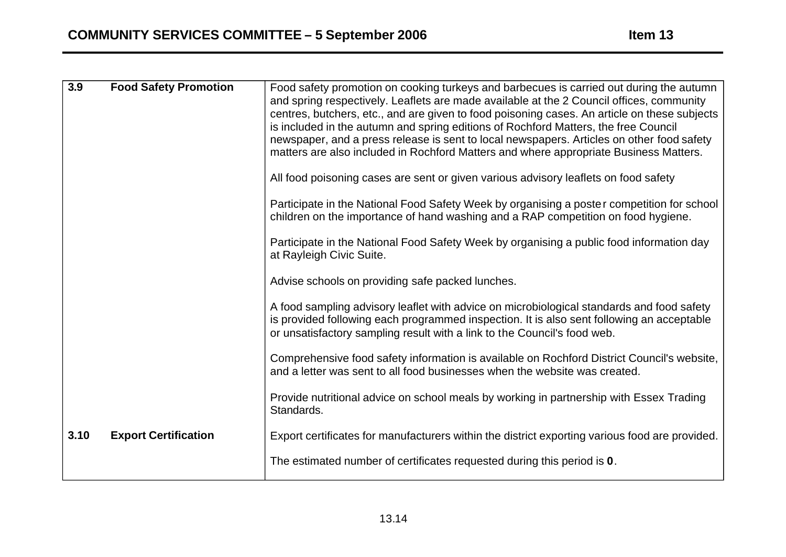| 3.9  | <b>Food Safety Promotion</b> | Food safety promotion on cooking turkeys and barbecues is carried out during the autumn<br>and spring respectively. Leaflets are made available at the 2 Council offices, community<br>centres, butchers, etc., and are given to food poisoning cases. An article on these subjects<br>is included in the autumn and spring editions of Rochford Matters, the free Council<br>newspaper, and a press release is sent to local newspapers. Articles on other food safety<br>matters are also included in Rochford Matters and where appropriate Business Matters.<br>All food poisoning cases are sent or given various advisory leaflets on food safety<br>Participate in the National Food Safety Week by organising a poster competition for school<br>children on the importance of hand washing and a RAP competition on food hygiene.<br>Participate in the National Food Safety Week by organising a public food information day<br>at Rayleigh Civic Suite.<br>Advise schools on providing safe packed lunches.<br>A food sampling advisory leaflet with advice on microbiological standards and food safety<br>is provided following each programmed inspection. It is also sent following an acceptable<br>or unsatisfactory sampling result with a link to the Council's food web.<br>Comprehensive food safety information is available on Rochford District Council's website,<br>and a letter was sent to all food businesses when the website was created. |
|------|------------------------------|--------------------------------------------------------------------------------------------------------------------------------------------------------------------------------------------------------------------------------------------------------------------------------------------------------------------------------------------------------------------------------------------------------------------------------------------------------------------------------------------------------------------------------------------------------------------------------------------------------------------------------------------------------------------------------------------------------------------------------------------------------------------------------------------------------------------------------------------------------------------------------------------------------------------------------------------------------------------------------------------------------------------------------------------------------------------------------------------------------------------------------------------------------------------------------------------------------------------------------------------------------------------------------------------------------------------------------------------------------------------------------------------------------------------------------------------------------------------------|
|      |                              | Provide nutritional advice on school meals by working in partnership with Essex Trading<br>Standards.                                                                                                                                                                                                                                                                                                                                                                                                                                                                                                                                                                                                                                                                                                                                                                                                                                                                                                                                                                                                                                                                                                                                                                                                                                                                                                                                                                    |
| 3.10 | <b>Export Certification</b>  | Export certificates for manufacturers within the district exporting various food are provided.<br>The estimated number of certificates requested during this period is 0.                                                                                                                                                                                                                                                                                                                                                                                                                                                                                                                                                                                                                                                                                                                                                                                                                                                                                                                                                                                                                                                                                                                                                                                                                                                                                                |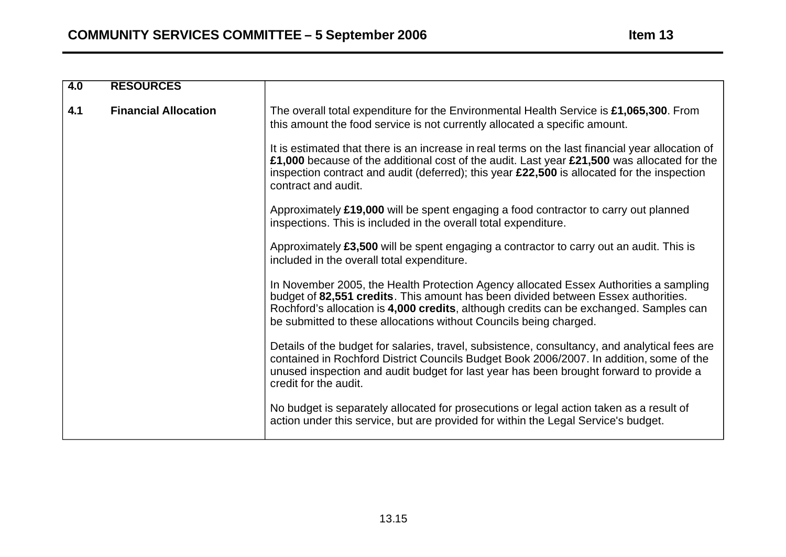| $\overline{4.0}$ | <b>RESOURCES</b>            |                                                                                                                                                                                                                                                                                                                                           |
|------------------|-----------------------------|-------------------------------------------------------------------------------------------------------------------------------------------------------------------------------------------------------------------------------------------------------------------------------------------------------------------------------------------|
| 4.1              | <b>Financial Allocation</b> | The overall total expenditure for the Environmental Health Service is £1,065,300. From<br>this amount the food service is not currently allocated a specific amount.                                                                                                                                                                      |
|                  |                             | It is estimated that there is an increase in real terms on the last financial year allocation of<br>£1,000 because of the additional cost of the audit. Last year £21,500 was allocated for the<br>inspection contract and audit (deferred); this year £22,500 is allocated for the inspection<br>contract and audit.                     |
|                  |                             | Approximately £19,000 will be spent engaging a food contractor to carry out planned<br>inspections. This is included in the overall total expenditure.                                                                                                                                                                                    |
|                  |                             | Approximately £3,500 will be spent engaging a contractor to carry out an audit. This is<br>included in the overall total expenditure.                                                                                                                                                                                                     |
|                  |                             | In November 2005, the Health Protection Agency allocated Essex Authorities a sampling<br>budget of 82,551 credits. This amount has been divided between Essex authorities.<br>Rochford's allocation is 4,000 credits, although credits can be exchanged. Samples can<br>be submitted to these allocations without Councils being charged. |
|                  |                             | Details of the budget for salaries, travel, subsistence, consultancy, and analytical fees are<br>contained in Rochford District Councils Budget Book 2006/2007. In addition, some of the<br>unused inspection and audit budget for last year has been brought forward to provide a<br>credit for the audit.                               |
|                  |                             | No budget is separately allocated for prosecutions or legal action taken as a result of<br>action under this service, but are provided for within the Legal Service's budget.                                                                                                                                                             |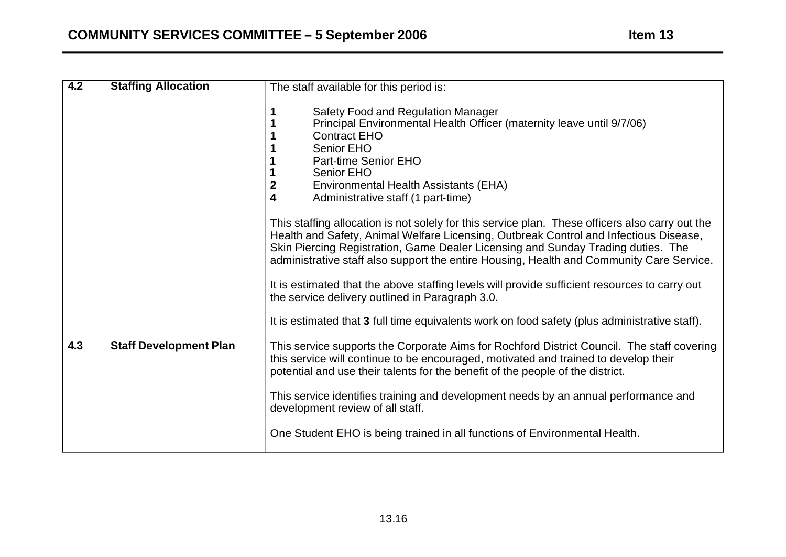| $\overline{4.2}$ | <b>Staffing Allocation</b>    | The staff available for this period is:                                                                                                                                                                                                                                                                                                                                  |
|------------------|-------------------------------|--------------------------------------------------------------------------------------------------------------------------------------------------------------------------------------------------------------------------------------------------------------------------------------------------------------------------------------------------------------------------|
|                  |                               | Safety Food and Regulation Manager<br>Principal Environmental Health Officer (maternity leave until 9/7/06)<br><b>Contract EHO</b><br>Senior EHO<br>Part-time Senior EHO<br><b>Senior EHO</b><br>$\boldsymbol{2}$<br>Environmental Health Assistants (EHA)<br>4<br>Administrative staff (1 part-time)                                                                    |
|                  |                               | This staffing allocation is not solely for this service plan. These officers also carry out the<br>Health and Safety, Animal Welfare Licensing, Outbreak Control and Infectious Disease,<br>Skin Piercing Registration, Game Dealer Licensing and Sunday Trading duties. The<br>administrative staff also support the entire Housing, Health and Community Care Service. |
|                  |                               | It is estimated that the above staffing levels will provide sufficient resources to carry out<br>the service delivery outlined in Paragraph 3.0.                                                                                                                                                                                                                         |
|                  |                               | It is estimated that 3 full time equivalents work on food safety (plus administrative staff).                                                                                                                                                                                                                                                                            |
| 4.3              | <b>Staff Development Plan</b> | This service supports the Corporate Aims for Rochford District Council. The staff covering<br>this service will continue to be encouraged, motivated and trained to develop their<br>potential and use their talents for the benefit of the people of the district.                                                                                                      |
|                  |                               | This service identifies training and development needs by an annual performance and<br>development review of all staff.                                                                                                                                                                                                                                                  |
|                  |                               | One Student EHO is being trained in all functions of Environmental Health.                                                                                                                                                                                                                                                                                               |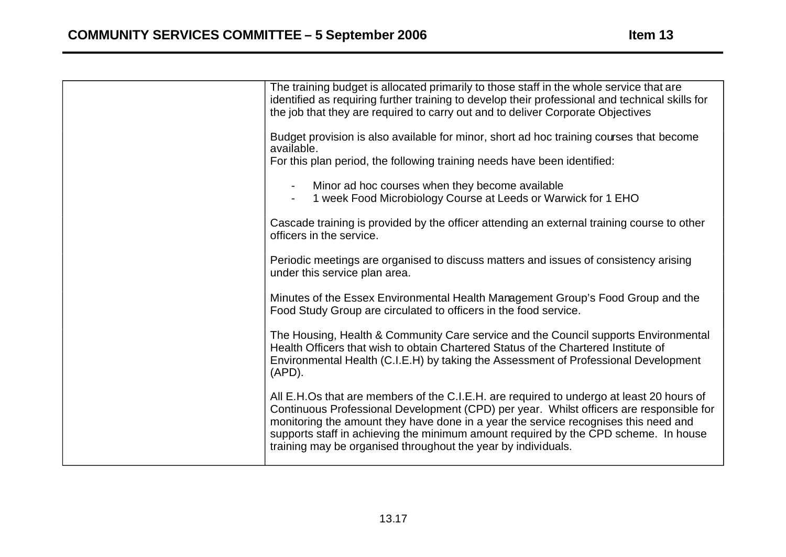| The training budget is allocated primarily to those staff in the whole service that are<br>identified as requiring further training to develop their professional and technical skills for<br>the job that they are required to carry out and to deliver Corporate Objectives                                                                                                                                                      |
|------------------------------------------------------------------------------------------------------------------------------------------------------------------------------------------------------------------------------------------------------------------------------------------------------------------------------------------------------------------------------------------------------------------------------------|
| Budget provision is also available for minor, short ad hoc training courses that become<br>available.                                                                                                                                                                                                                                                                                                                              |
| For this plan period, the following training needs have been identified:                                                                                                                                                                                                                                                                                                                                                           |
| Minor ad hoc courses when they become available<br>1 week Food Microbiology Course at Leeds or Warwick for 1 EHO                                                                                                                                                                                                                                                                                                                   |
| Cascade training is provided by the officer attending an external training course to other<br>officers in the service.                                                                                                                                                                                                                                                                                                             |
| Periodic meetings are organised to discuss matters and issues of consistency arising<br>under this service plan area.                                                                                                                                                                                                                                                                                                              |
| Minutes of the Essex Environmental Health Management Group's Food Group and the<br>Food Study Group are circulated to officers in the food service.                                                                                                                                                                                                                                                                                |
| The Housing, Health & Community Care service and the Council supports Environmental<br>Health Officers that wish to obtain Chartered Status of the Chartered Institute of<br>Environmental Health (C.I.E.H) by taking the Assessment of Professional Development<br>$(APD)$ .                                                                                                                                                      |
| All E.H.Os that are members of the C.I.E.H. are required to undergo at least 20 hours of<br>Continuous Professional Development (CPD) per year. Whilst officers are responsible for<br>monitoring the amount they have done in a year the service recognises this need and<br>supports staff in achieving the minimum amount required by the CPD scheme. In house<br>training may be organised throughout the year by individuals. |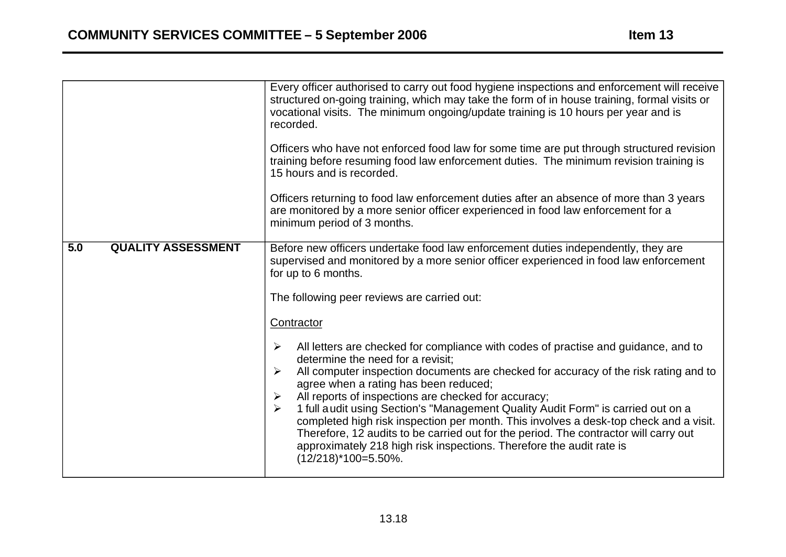|                                  | Every officer authorised to carry out food hygiene inspections and enforcement will receive<br>structured on-going training, which may take the form of in house training, formal visits or<br>vocational visits. The minimum ongoing/update training is 10 hours per year and is<br>recorded.<br>Officers who have not enforced food law for some time are put through structured revision<br>training before resuming food law enforcement duties. The minimum revision training is<br>15 hours and is recorded.<br>Officers returning to food law enforcement duties after an absence of more than 3 years<br>are monitored by a more senior officer experienced in food law enforcement for a<br>minimum period of 3 months.                                                                                                                                                                                                                                                                                                            |  |
|----------------------------------|---------------------------------------------------------------------------------------------------------------------------------------------------------------------------------------------------------------------------------------------------------------------------------------------------------------------------------------------------------------------------------------------------------------------------------------------------------------------------------------------------------------------------------------------------------------------------------------------------------------------------------------------------------------------------------------------------------------------------------------------------------------------------------------------------------------------------------------------------------------------------------------------------------------------------------------------------------------------------------------------------------------------------------------------|--|
| 5.0<br><b>QUALITY ASSESSMENT</b> | Before new officers undertake food law enforcement duties independently, they are<br>supervised and monitored by a more senior officer experienced in food law enforcement<br>for up to 6 months.<br>The following peer reviews are carried out:<br>Contractor<br>All letters are checked for compliance with codes of practise and guidance, and to<br>$\blacktriangleright$<br>determine the need for a revisit:<br>All computer inspection documents are checked for accuracy of the risk rating and to<br>$\blacktriangleright$<br>agree when a rating has been reduced;<br>All reports of inspections are checked for accuracy;<br>➤<br>1 full audit using Section's "Management Quality Audit Form" is carried out on a<br>$\blacktriangleright$<br>completed high risk inspection per month. This involves a desk-top check and a visit.<br>Therefore, 12 audits to be carried out for the period. The contractor will carry out<br>approximately 218 high risk inspections. Therefore the audit rate is<br>$(12/218)^*100=5.50\%$ . |  |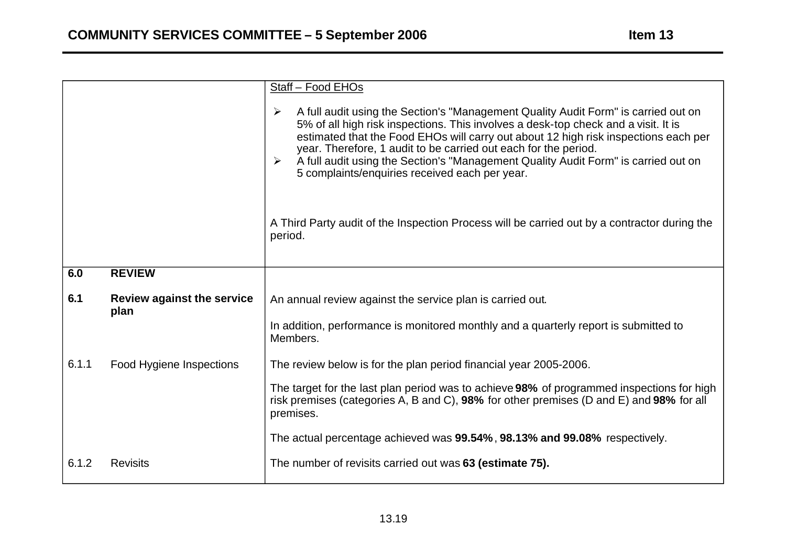|       |                                           | Staff - Food EHOs                                                                                                                                                                                                                                                                                                                                                                                                                                                                                                            |  |
|-------|-------------------------------------------|------------------------------------------------------------------------------------------------------------------------------------------------------------------------------------------------------------------------------------------------------------------------------------------------------------------------------------------------------------------------------------------------------------------------------------------------------------------------------------------------------------------------------|--|
|       |                                           | A full audit using the Section's "Management Quality Audit Form" is carried out on<br>$\blacktriangleright$<br>5% of all high risk inspections. This involves a desk-top check and a visit. It is<br>estimated that the Food EHOs will carry out about 12 high risk inspections each per<br>year. Therefore, 1 audit to be carried out each for the period.<br>A full audit using the Section's "Management Quality Audit Form" is carried out on<br>$\blacktriangleright$<br>5 complaints/enquiries received each per year. |  |
|       |                                           | A Third Party audit of the Inspection Process will be carried out by a contractor during the<br>period.                                                                                                                                                                                                                                                                                                                                                                                                                      |  |
| 6.0   | <b>REVIEW</b>                             |                                                                                                                                                                                                                                                                                                                                                                                                                                                                                                                              |  |
| 6.1   | <b>Review against the service</b><br>plan | An annual review against the service plan is carried out.                                                                                                                                                                                                                                                                                                                                                                                                                                                                    |  |
|       |                                           | In addition, performance is monitored monthly and a quarterly report is submitted to<br>Members.                                                                                                                                                                                                                                                                                                                                                                                                                             |  |
| 6.1.1 | Food Hygiene Inspections                  | The review below is for the plan period financial year 2005-2006.                                                                                                                                                                                                                                                                                                                                                                                                                                                            |  |
|       |                                           | The target for the last plan period was to achieve 98% of programmed inspections for high<br>risk premises (categories A, B and C), 98% for other premises (D and E) and 98% for all<br>premises.                                                                                                                                                                                                                                                                                                                            |  |
|       |                                           | The actual percentage achieved was 99.54%, 98.13% and 99.08% respectively.                                                                                                                                                                                                                                                                                                                                                                                                                                                   |  |
| 6.1.2 | <b>Revisits</b>                           | The number of revisits carried out was 63 (estimate 75).                                                                                                                                                                                                                                                                                                                                                                                                                                                                     |  |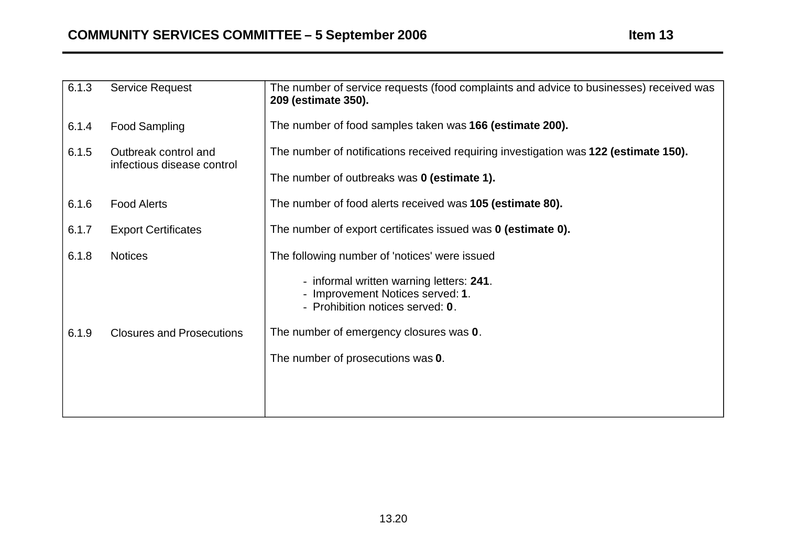| 6.1.3                                                       | <b>Service Request</b>                                                               | The number of service requests (food complaints and advice to businesses) received was<br>209 (estimate 350).    |
|-------------------------------------------------------------|--------------------------------------------------------------------------------------|------------------------------------------------------------------------------------------------------------------|
| 6.1.4                                                       | <b>Food Sampling</b>                                                                 | The number of food samples taken was 166 (estimate 200).                                                         |
| 6.1.5<br>Outbreak control and<br>infectious disease control | The number of notifications received requiring investigation was 122 (estimate 150). |                                                                                                                  |
|                                                             | The number of outbreaks was 0 (estimate 1).                                          |                                                                                                                  |
| 6.1.6                                                       | <b>Food Alerts</b>                                                                   | The number of food alerts received was 105 (estimate 80).                                                        |
| 6.1.7                                                       | <b>Export Certificates</b>                                                           | The number of export certificates issued was 0 (estimate 0).                                                     |
| 6.1.8                                                       | <b>Notices</b>                                                                       | The following number of 'notices' were issued                                                                    |
|                                                             |                                                                                      | - informal written warning letters: 241.<br>- Improvement Notices served: 1.<br>- Prohibition notices served: 0. |
| 6.1.9                                                       | <b>Closures and Prosecutions</b>                                                     | The number of emergency closures was 0.                                                                          |
|                                                             | The number of prosecutions was 0.                                                    |                                                                                                                  |
|                                                             |                                                                                      |                                                                                                                  |
|                                                             |                                                                                      |                                                                                                                  |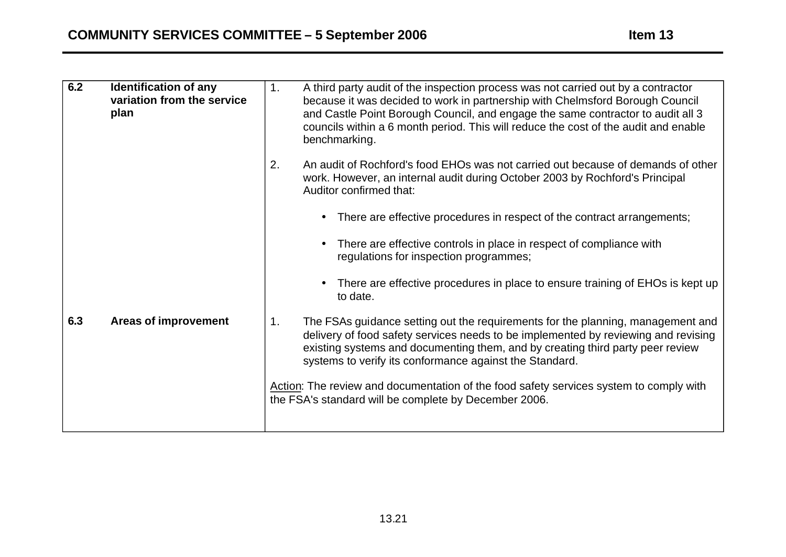| 6.2 | <b>Identification of any</b><br>variation from the service<br>plan | 1.<br>A third party audit of the inspection process was not carried out by a contractor<br>because it was decided to work in partnership with Chelmsford Borough Council<br>and Castle Point Borough Council, and engage the same contractor to audit all 3<br>councils within a 6 month period. This will reduce the cost of the audit and enable<br>benchmarking. |
|-----|--------------------------------------------------------------------|---------------------------------------------------------------------------------------------------------------------------------------------------------------------------------------------------------------------------------------------------------------------------------------------------------------------------------------------------------------------|
|     |                                                                    | An audit of Rochford's food EHOs was not carried out because of demands of other<br>2.<br>work. However, an internal audit during October 2003 by Rochford's Principal<br>Auditor confirmed that:                                                                                                                                                                   |
|     |                                                                    | There are effective procedures in respect of the contract arrangements;<br>$\bullet$                                                                                                                                                                                                                                                                                |
|     |                                                                    | There are effective controls in place in respect of compliance with<br>$\bullet$<br>regulations for inspection programmes;                                                                                                                                                                                                                                          |
|     |                                                                    | There are effective procedures in place to ensure training of EHOs is kept up<br>$\bullet$<br>to date.                                                                                                                                                                                                                                                              |
| 6.3 | <b>Areas of improvement</b>                                        | The FSAs guidance setting out the requirements for the planning, management and<br>1.<br>delivery of food safety services needs to be implemented by reviewing and revising<br>existing systems and documenting them, and by creating third party peer review<br>systems to verify its conformance against the Standard.                                            |
|     |                                                                    | Action: The review and documentation of the food safety services system to comply with<br>the FSA's standard will be complete by December 2006.                                                                                                                                                                                                                     |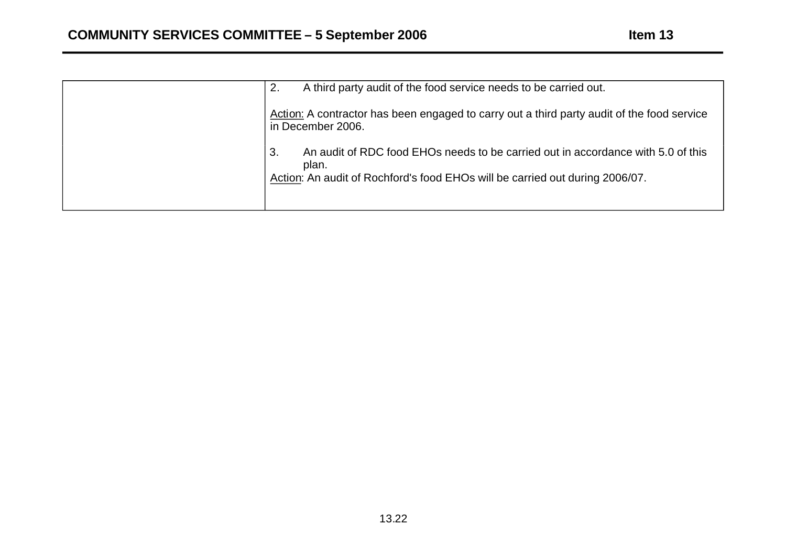| A third party audit of the food service needs to be carried out.<br>2.                                                                                                          |
|---------------------------------------------------------------------------------------------------------------------------------------------------------------------------------|
| Action: A contractor has been engaged to carry out a third party audit of the food service<br>in December 2006.                                                                 |
| An audit of RDC food EHOs needs to be carried out in accordance with 5.0 of this<br>3.<br>plan.<br>Action: An audit of Rochford's food EHOs will be carried out during 2006/07. |